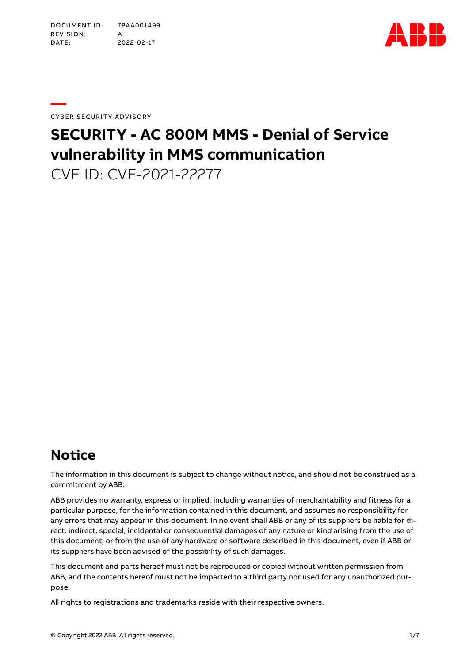

**—**  CYBER SECURITY ADVISORY

# **SECURITY - AC 800M MMS - Denial of Service vulnerability in MMS communication**

CVE ID: CVE-2021-22277

# **Notice**

The information in this document is subject to change without notice, and should not be construed as a commitment by ABB.

ABB provides no warranty, express or implied, including warranties of merchantability and fitness for a particular purpose, for the information contained in this document, and assumes no responsibility for any errors that may appear in this document. In no event shall ABB or any of its suppliers be liable for direct, indirect, special, incidental or consequential damages of any nature or kind arising from the use of this document, or from the use of any hardware or software described in this document, even if ABB or its suppliers have been advised of the possibility of such damages.

This document and parts hereof must not be reproduced or copied without written permission from ABB, and the contents hereof must not be imparted to a third party nor used for any unauthorized purpose.

All rights to registrations and trademarks reside with their respective owners.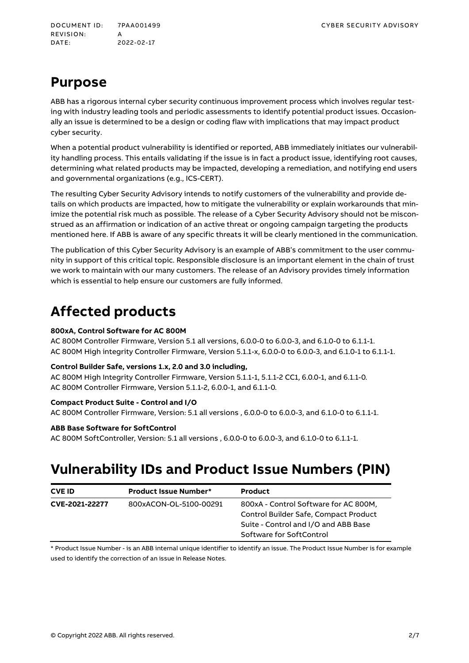DOCUMENT ID: 7PAA001499 CYBER SECURITY ADVISORY REVISION: DATE: 2022 -02 -17

### **Purpose**

ABB has a rigorous internal cyber security continuous improvement process which involves regular testing with industry leading tools and periodic assessments to identify potential product issues. Occasionally an issue is determined to be a design or coding flaw with implications that may impact product cyber security.

When a potential product vulnerability is identified or reported, ABB immediately initiates our vulnerability handling process. This entails validating if the issue is in fact a product issue, identifying root causes, determining what related products may be impacted, developing a remediation, and notifying end users and governmental organizations (e.g., ICS-CERT).

The resulting Cyber Security Advisory intends to notify customers of the vulnerability and provide details on which products are impacted, how to mitigate the vulnerability or explain workarounds that minimize the potential risk much as possible. The release of a Cyber Security Advisory should not be misconstrued as an affirmation or indication of an active threat or ongoing campaign targeting the products mentioned here. If ABB is aware of any specific threats it will be clearly mentioned in the communication.

The publication of this Cyber Security Advisory is an example of ABB's commitment to the user community in support of this critical topic. Responsible disclosure is an important element in the chain of trust we work to maintain with our many customers. The release of an Advisory provides timely information which is essential to help ensure our customers are fully informed.

### **Affected products**

#### **800xA, Control Software for AC 800M**

AC 800M Controller Firmware, Version 5.1 all versions, 6.0.0-0 to 6.0.0-3, and 6.1.0-0 to 6.1.1-1. AC 800M High integrity Controller Firmware, Version 5.1.1-x, 6.0.0-0 to 6.0.0-3, and 6.1.0-1 to 6.1.1-1.

#### **Control Builder Safe, versions 1.x, 2.0 and 3.0 including,**

AC 800M High Integrity Controller Firmware, Version 5.1.1-1, 5.1.1-2 CC1, 6.0.0-1, and 6.1.1-0. AC 800M Controller Firmware, Version 5.1.1-2, 6.0.0-1, and 6.1.1-0.

#### **Compact Product Suite - Control and I/O**

AC 800M Controller Firmware, Version: 5.1 all versions , 6.0.0-0 to 6.0.0-3, and 6.1.0-0 to 6.1.1-1.

#### **ABB Base Software for SoftControl**

AC 800M SoftController, Version: 5.1 all versions , 6.0.0-0 to 6.0.0-3, and 6.1.0-0 to 6.1.1-1.

### **Vulnerability IDs and Product Issue Numbers (PIN)**

| <b>CVE ID</b>  | <b>Product Issue Number*</b> | <b>Product</b>                        |
|----------------|------------------------------|---------------------------------------|
| CVE-2021-22277 | 800xACON-OL-5100-00291       | 800xA - Control Software for AC 800M, |
|                |                              | Control Builder Safe, Compact Product |
|                |                              | Suite - Control and I/O and ABB Base  |
|                |                              | Software for SoftControl              |

\* Product Issue Number - is an ABB internal unique identifier to identify an issue. The Product Issue Number is for example used to identify the correction of an issue in Release Notes.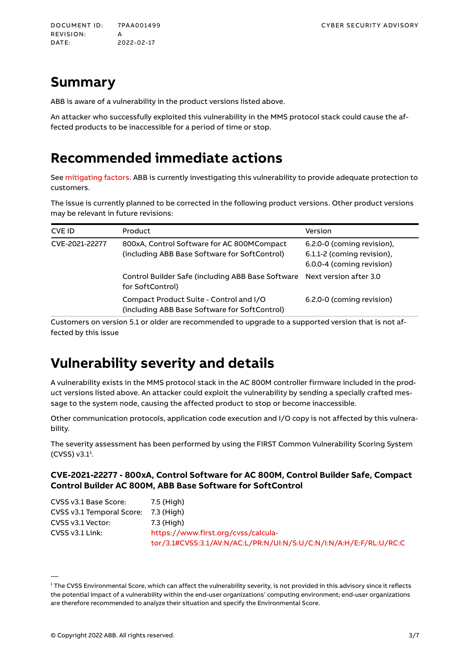### **Summary**

ABB is aware of a vulnerability in the product versions listed above.

An attacker who successfully exploited this vulnerability in the MMS protocol stack could cause the affected products to be inaccessible for a period of time or stop.

### **Recommended immediate actions**

Se[e mitigating factors.](#page-3-0) ABB is currently investigating this vulnerability to provide adequate protection to customers.

The issue is currently planned to be corrected in the following product versions. Other product versions may be relevant in future revisions:

| <b>CVE ID</b>  | <b>Product</b>                                                                              | Version                                                                               |
|----------------|---------------------------------------------------------------------------------------------|---------------------------------------------------------------------------------------|
| CVE-2021-22277 | 800xA, Control Software for AC 800MCompact<br>(including ABB Base Software for SoftControl) | 6.2.0-0 (coming revision),<br>6.1.1-2 (coming revision),<br>6.0.0-4 (coming revision) |
|                | Control Builder Safe (including ABB Base Software<br>for SoftControl)                       | Next version after 3.0                                                                |
|                | Compact Product Suite - Control and I/O<br>(including ABB Base Software for SoftControl)    | 6.2.0-0 (coming revision)                                                             |

Customers on version 5.1 or older are recommended to upgrade to a supported version that is not affected by this issue

### **Vulnerability severity and details**

A vulnerability exists in the MMS protocol stack in the AC 800M controller firmware included in the product versions listed above. An attacker could exploit the vulnerability by sending a specially crafted message to the system node, causing the affected product to stop or become inaccessible.

Other communication protocols, application code execution and I/O copy is not affected by this vulnerability.

The severity assessment has been performed by using the FIRST Common Vulnerability Scoring System  $(CVSS) v3.1<sup>1</sup>$ .

#### **CVE-2021-22277 - 800xA, Control Software for AC 800M, Control Builder Safe, Compact Control Builder AC 800M, ABB Base Software for SoftControl**

| CVSS v3.1 Base Score:     | 7.5 (High)                                                         |
|---------------------------|--------------------------------------------------------------------|
| CVSS v3.1 Temporal Score: | 7.3 (High)                                                         |
| CVSS v3.1 Vector:         | 7.3 (High)                                                         |
| $CVSS v3.1$ Link:         | https://www.first.org/cyss/calcula-                                |
|                           | tor/3.1#CVSS:3.1/AV:N/AC:L/PR:N/UI:N/S:U/C:N/I:N/A:H/E:F/RL:U/RC:C |

 $^{\rm 1}$  The CVSS Environmental Score, which can affect the vulnerability severity, is not provided in this advisory since it reflects the potential impact of a vulnerability within the end-user organizations' computing environment; end-user organizations are therefore recommended to analyze their situation and specify the Environmental Score.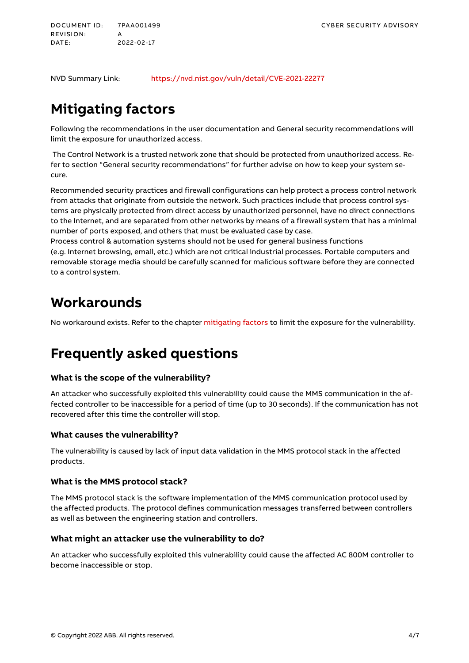<span id="page-3-0"></span>DOCUMENT ID: 7PAA001499 CYBER SECURITY ADVISORY REVISION: DATE: 2022 -02 -17

NVD Summary Link: <https://nvd.nist.gov/vuln/detail/CVE-2021-22277>

# **Mitigating factors**

Following the recommendations in the user documentation and [General security recommendations w](#page-4-0)ill limit the exposure for unauthorized access.

 The Control Network is a trusted network zone that should be protected from unauthorized access. Refer to section ["General security recommendations"](#page-4-0) for further advise on how to keep your system secure.

Recommended security practices and firewall configurations can help protect a process control network from attacks that originate from outside the network. Such practices include that process control systems are physically protected from direct access by unauthorized personnel, have no direct connections to the Internet, and are separated from other networks by means of a firewall system that has a minimal number of ports exposed, and others that must be evaluated case by case.

Process control & automation systems should not be used for general business functions (e.g. Internet browsing, email, etc.) which are not critical industrial processes. Portable computers and removable storage media should be carefully scanned for malicious software before they are connected to a control system.

### **Workarounds**

No workaround exists. Refer to the chapter mitigating factors to limit the exposure for the vulnerability.

### **Frequently asked questions**

#### **What is the scope of the vulnerability?**

An attacker who successfully exploited this vulnerability could cause the MMS communication in the affected controller to be inaccessible for a period of time (up to 30 seconds). If the communication has not recovered after this time the controller will stop.

#### **What causes the vulnerability?**

The vulnerability is caused by lack of input data validation in the MMS protocol stack in the affected products.

#### **What is the MMS protocol stack?**

The MMS protocol stack is the software implementation of the MMS communication protocol used by the affected products. The protocol defines communication messages transferred between controllers as well as between the engineering station and controllers.

#### **What might an attacker use the vulnerability to do?**

An attacker who successfully exploited this vulnerability could cause the affected AC 800M controller to become inaccessible or stop.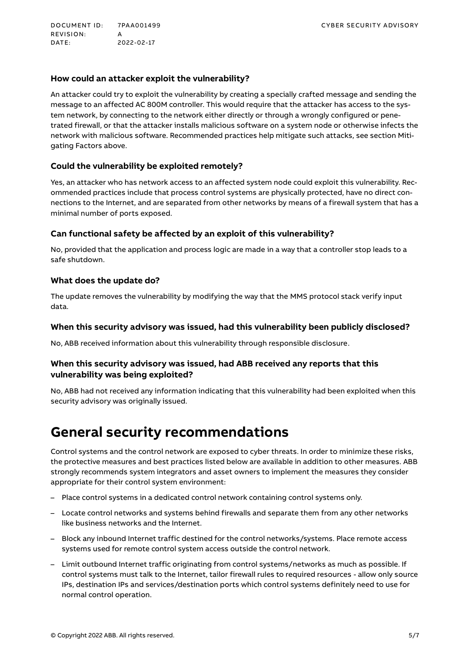<span id="page-4-0"></span>DOCUMENT ID: 7PAA001499 CYBER SECURITY ADVISORY REVISION:<br>DATE: 2022-02-17

#### **How could an attacker exploit the vulnerability?**

An attacker could try to exploit the vulnerability by creating a specially crafted message and sending the message to an affected AC 800M controller. This would require that the attacker has access to the system network, by connecting to the network either directly or through a wrongly configured or penetrated firewall, or that the attacker installs malicious software on a system node or otherwise infects the network with malicious software. Recommended practices help mitigate such attacks, see section Mitigating Factors above.

#### **Could the vulnerability be exploited remotely?**

Yes, an attacker who has network access to an affected system node could exploit this vulnerability. Recommended practices include that process control systems are physically protected, have no direct connections to the Internet, and are separated from other networks by means of a firewall system that has a minimal number of ports exposed.

#### **Can functional safety be affected by an exploit of this vulnerability?**

No, provided that the application and process logic are made in a way that a controller stop leads to a safe shutdown.

#### **What does the update do?**

The update removes the vulnerability by modifying the way that the MMS protocol stack verify input data.

#### **When this security advisory was issued, had this vulnerability been publicly disclosed?**

No, ABB received information about this vulnerability through responsible disclosure.

#### **When this security advisory was issued, had ABB received any reports that this vulnerability was being exploited?**

No, ABB had not received any information indicating that this vulnerability had been exploited when this security advisory was originally issued.

### **General security recommendations**

Control systems and the control network are exposed to cyber threats. In order to minimize these risks, the protective measures and best practices listed below are available in addition to other measures. ABB strongly recommends system integrators and asset owners to implement the measures they consider appropriate for their control system environment:

- Place control systems in a dedicated control network containing control systems only.
- Locate control networks and systems behind firewalls and separate them from any other networks like business networks and the Internet.
- Block any inbound Internet traffic destined for the control networks/systems. Place remote access systems used for remote control system access outside the control network.
- Limit outbound Internet traffic originating from control systems/networks as much as possible. If control systems must talk to the Internet, tailor firewall rules to required resources - allow only source IPs, destination IPs and services/destination ports which control systems definitely need to use for normal control operation.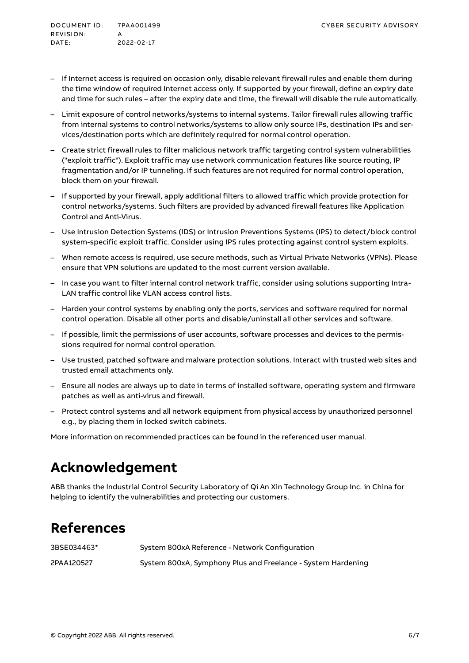- If Internet access is required on occasion only, disable relevant firewall rules and enable them during the time window of required Internet access only. If supported by your firewall, define an expiry date and time for such rules – after the expiry date and time, the firewall will disable the rule automatically.
- Limit exposure of control networks/systems to internal systems. Tailor firewall rules allowing traffic from internal systems to control networks/systems to allow only source IPs, destination IPs and services/destination ports which are definitely required for normal control operation.
- Create strict firewall rules to filter malicious network traffic targeting control system vulnerabilities ("exploit traffic"). Exploit traffic may use network communication features like source routing, IP fragmentation and/or IP tunneling. If such features are not required for normal control operation, block them on your firewall.
- If supported by your firewall, apply additional filters to allowed traffic which provide protection for control networks/systems. Such filters are provided by advanced firewall features like Application Control and Anti-Virus.
- Use Intrusion Detection Systems (IDS) or Intrusion Preventions Systems (IPS) to detect/block control system-specific exploit traffic. Consider using IPS rules protecting against control system exploits.
- When remote access is required, use secure methods, such as Virtual Private Networks (VPNs). Please ensure that VPN solutions are updated to the most current version available.
- In case you want to filter internal control network traffic, consider using solutions supporting Intra-LAN traffic control like VLAN access control lists.
- Harden your control systems by enabling only the ports, services and software required for normal control operation. Disable all other ports and disable/uninstall all other services and software.
- If possible, limit the permissions of user accounts, software processes and devices to the permissions required for normal control operation.
- Use trusted, patched software and malware protection solutions. Interact with trusted web sites and trusted email attachments only.
- Ensure all nodes are always up to date in terms of installed software, operating system and firmware patches as well as anti-virus and firewall.
- Protect control systems and all network equipment from physical access by unauthorized personnel e.g., by placing them in locked switch cabinets.

More information on recommended practices can be found in the referenced user manual.

## **Acknowledgement**

ABB thanks the Industrial Control Security Laboratory of Qi An Xin Technology Group Inc. in China for helping to identify the vulnerabilities and protecting our customers.

# **References**

| 3BSE034463* | System 800xA Reference - Network Configuration               |
|-------------|--------------------------------------------------------------|
| 2PAA120527  | System 800xA, Symphony Plus and Freelance - System Hardening |